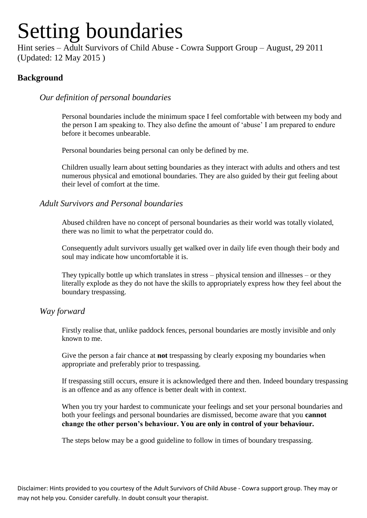# Setting boundaries

Hint series – Adult Survivors of Child Abuse - Cowra Support Group – August, 29 2011 (Updated: 12 May 2015 )

## **Background**

### *Our definition of personal boundaries*

Personal boundaries include the minimum space I feel comfortable with between my body and the person I am speaking to. They also define the amount of 'abuse' I am prepared to endure before it becomes unbearable.

Personal boundaries being personal can only be defined by me.

Children usually learn about setting boundaries as they interact with adults and others and test numerous physical and emotional boundaries. They are also guided by their gut feeling about their level of comfort at the time.

#### *Adult Survivors and Personal boundaries*

Abused children have no concept of personal boundaries as their world was totally violated, there was no limit to what the perpetrator could do.

Consequently adult survivors usually get walked over in daily life even though their body and soul may indicate how uncomfortable it is.

They typically bottle up which translates in stress – physical tension and illnesses – or they literally explode as they do not have the skills to appropriately express how they feel about the boundary trespassing.

#### *Way forward*

Firstly realise that, unlike paddock fences, personal boundaries are mostly invisible and only known to me.

Give the person a fair chance at **not** trespassing by clearly exposing my boundaries when appropriate and preferably prior to trespassing.

If trespassing still occurs, ensure it is acknowledged there and then. Indeed boundary trespassing is an offence and as any offence is better dealt with in context.

When you try your hardest to communicate your feelings and set your personal boundaries and both your feelings and personal boundaries are dismissed, become aware that you **cannot change the other person's behaviour. You are only in control of your behaviour.**

The steps below may be a good guideline to follow in times of boundary trespassing.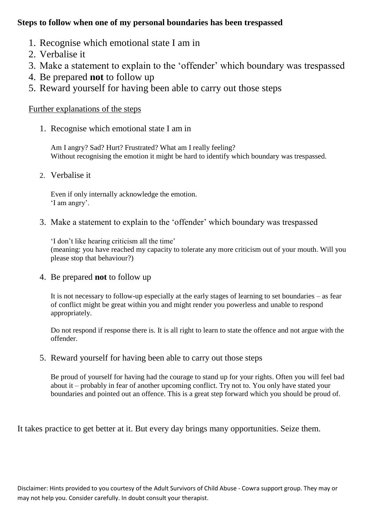# **Steps to follow when one of my personal boundaries has been trespassed**

- 1. Recognise which emotional state I am in
- 2. Verbalise it
- 3. Make a statement to explain to the 'offender' which boundary was trespassed
- 4. Be prepared **not** to follow up
- 5. Reward yourself for having been able to carry out those steps

## Further explanations of the steps

1. Recognise which emotional state I am in

Am I angry? Sad? Hurt? Frustrated? What am I really feeling? Without recognising the emotion it might be hard to identify which boundary was trespassed.

2. Verbalise it

Even if only internally acknowledge the emotion. 'I am angry'.

# 3. Make a statement to explain to the 'offender' which boundary was trespassed

'I don't like hearing criticism all the time' (meaning: you have reached my capacity to tolerate any more criticism out of your mouth. Will you please stop that behaviour?)

## 4. Be prepared **not** to follow up

It is not necessary to follow-up especially at the early stages of learning to set boundaries – as fear of conflict might be great within you and might render you powerless and unable to respond appropriately.

Do not respond if response there is. It is all right to learn to state the offence and not argue with the offender.

5. Reward yourself for having been able to carry out those steps

Be proud of yourself for having had the courage to stand up for your rights. Often you will feel bad about it – probably in fear of another upcoming conflict. Try not to. You only have stated your boundaries and pointed out an offence. This is a great step forward which you should be proud of.

It takes practice to get better at it. But every day brings many opportunities. Seize them.